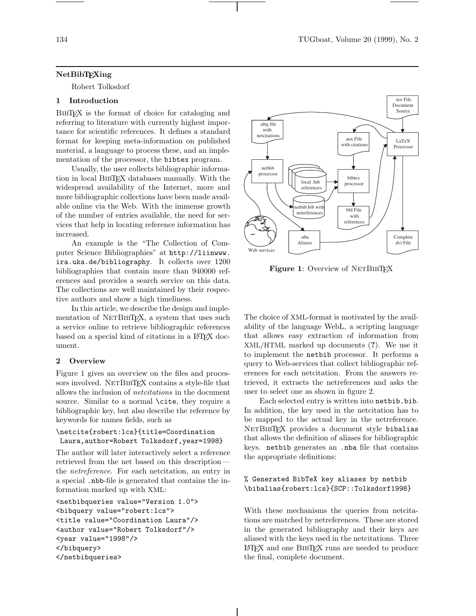#### NetBibTEXing

Robert Tolksdorf

## 1 Introduction

BIBTEX is the format of choice for cataloging and referring to literature with currently highest importance for scientific references. It defines a standard format for keeping meta-information on published material, a language to process these, and an implementation of the processor, the bibtex program.

Usually, the user collects bibliographic information in local BibTEX databases manually. With the widespread availability of the Internet, more and more bibliographic collections have been made available online via the Web. With the immense growth of the number of entries available, the need for services that help in locating reference information has increased.

An example is the "The Collection of Computer Science Bibliographies" at http://liinwww. ira.uka.de/bibliography. It collects over 1200 bibliographies that contain more than 940000 references and provides a search service on this data. The collections are well maintained by their respective authors and show a high timeliness.

In this article, we describe the design and implementation of NETBIBTEX, a system that uses such a service online to retrieve bibliographic references based on a special kind of citations in a LAT<sub>EX</sub> document.

#### 2 Overview

Figure 1 gives an overview on the files and processors involved. NETBIBTEX contains a style-file that allows the inclusion of netcitations in the document source. Similar to a normal **\cite**, they require a bibliographic key, but also describe the reference by keywords for names fields, such as

```
\netcite{robert:lcs}{title=Coordination
Laura,author=Robert Tolksdorf,year=1998}
```
The author will later interactively select a reference retrieved from the net based on this description the netreference. For each netcitation, an entry in a special .nbb-file is generated that contains the information marked up with XML:

```
<netbibqueries value="Version 1.0">
<bibquery value="robert:lcs">
<title value="Coordination Laura"/>
<author value="Robert Tolksdorf"/>
<year value="1998"/>
</bibquery>
</netbibqueries>
```


Figure 1: Overview of NETBIBTFX

The choice of XML-format is motivated by the availability of the language WebL, a scripting language that allows easy extraction of information from XML/HTML marked up documents (?). We use it to implement the netbib processor. It performs a query to Web-services that collect bibliographic references for each netcitation. From the answers retrieved, it extracts the netreferences and asks the user to select one as shown in figure 2.

Each selected entry is written into netbib.bib. In addition, the key used in the netcitation has to be mapped to the actual key in the netreference. NETBIBTEX provides a document style bibalias that allows the definition of aliases for bibliographic keys. netbib generates an .nba file that contains the appropriate definitions:

# % Generated BibTeX key aliases by netbib \bibalias{robert:lcs}{SCP::Tolksdorf1998}

With these mechanisms the queries from netcitations are matched by netreferences. These are stored in the generated bibliography and their keys are aliased with the keys used in the netcitations. Three <sup>L</sup><sup>A</sup>TEX and one BibTEX runs are needed to produce the final, complete document.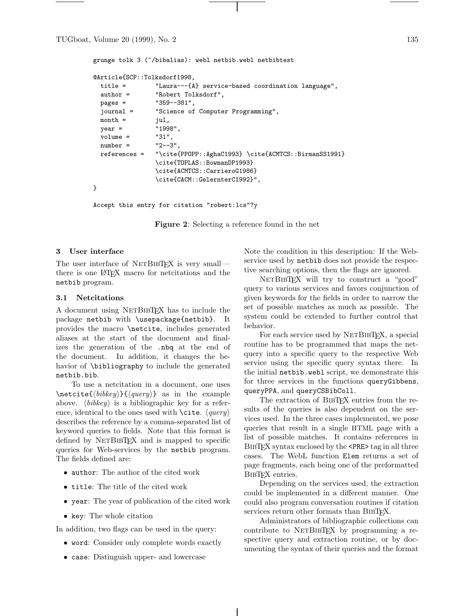grunge tolk 3 (~/bibalias): webl netbib.webl netbibtest

```
@Article{SCP::Tolksdorf1998,
 title = "Laura---{A} service-based coordination language",
 author = "Robert Tolksdorf",
 pages = "359--381",
 journal = "Science of Computer Programming",
 month = jul,year = "1998",
 volume = "31",
 number = "2--3"references = "\cite{PPOPP::AghaC1993} \cite{ACMTCS::BirmanSS1991}
               \cite{TOPLAS::BowmanDP1993}
               \cite{ACMTCS::CarrieroG1986}
               \cite{CACM::GelernterC1992}",
}
```
Accept this entry for citation "robert:lcs"?y

Figure 2: Selecting a reference found in the net

#### 3 User interface

The user interface of  $NETB1BTFX$  is very small there is one L<sup>A</sup>TEX macro for netcitations and the netbib program.

## 3.1 Netcitations

A document using NETBIBTEX has to include the package netbib with \usepackage{netbib}. It provides the macro \netcite, includes generated aliases at the start of the document and finalizes the generation of the .nbq at the end of the document. In addition, it changes the behavior of \bibliography to include the generated netbib.bib.

To use a netcitation in a document, one uses  $\text{bitet}({\text{bibkey}}{\{\text{query}}\}$  as in the example above.  $\langle \text{bibkey} \rangle$  is a bibliographic key for a reference, identical to the ones used with  $\text{cite. } \langle query \rangle$ describes the reference by a comma-separated list of keyword queries to fields. Note that this format is defined by NETBIBTEX and is mapped to specific queries for Web-services by the netbib program. The fields defined are:

- author: The author of the cited work
- title: The title of the cited work
- year: The year of publication of the cited work
- key: The whole citation

In addition, two flags can be used in the query:

- word: Consider only complete words exactly
- case: Distinguish upper- and lowercase

Note the condition in this description: If the Webservice used by netbib does not provide the respective searching options, then the flags are ignored.

NETBIBTEX will try to construct a "good" query to various services and favors conjunction of given keywords for the fields in order to narrow the set of possible matches as much as possible. The system could be extended to further control that behavior.

For each service used by NETBIBT<sub>EX</sub>, a special routine has to be programmed that maps the netquery into a specific query to the respective Web service using the specific query syntax there. In the initial netbib.webl script, we demonstrate this for three services in the functions queryGibbens, queryPPA, and queryCSBibColl.

The extraction of BIBT<sub>EX</sub> entries from the results of the queries is also dependent on the services used. In the three cases implemented, we pose queries that result in a single HTML page with a list of possible matches. It contains references in BibTEX syntax enclosed by the <PRE> tag in all three cases. The WebL function Elem returns a set of page fragments, each being one of the preformatted BIBTEX entries.

Depending on the services used, the extraction could be implemented in a different manner. One could also program conversation routines if citation services return other formats than BIBTFX.

Administrators of bibliographic collections can contribute to NETBIBTEX by programming a respective query and extraction routine, or by documenting the syntax of their queries and the format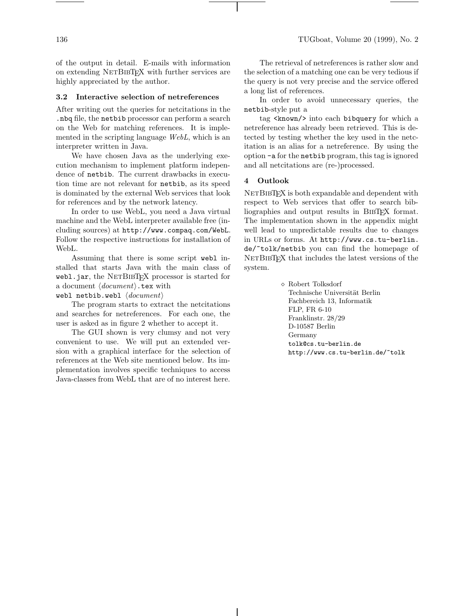of the output in detail. E-mails with information on extending NETBIBTEX with further services are highly appreciated by the author.

#### 3.2 Interactive selection of netreferences

After writing out the queries for netcitations in the .nbq file, the netbib processor can perform a search on the Web for matching references. It is implemented in the scripting language WebL, which is an interpreter written in Java.

We have chosen Java as the underlying execution mechanism to implement platform independence of netbib. The current drawbacks in execution time are not relevant for netbib, as its speed is dominated by the external Web services that look for references and by the network latency.

In order to use WebL, you need a Java virtual machine and the WebL interpreter available free (including sources) at http://www.compaq.com/WebL. Follow the respective instructions for installation of WebL.

Assuming that there is some script webl installed that starts Java with the main class of webl.jar, the NETBIBTEX processor is started for a document  $\langle document \rangle$  tex with

webl netbib.webl  $\langle document \rangle$ 

The program starts to extract the netcitations and searches for netreferences. For each one, the user is asked as in figure 2 whether to accept it.

The GUI shown is very clumsy and not very convenient to use. We will put an extended version with a graphical interface for the selection of references at the Web site mentioned below. Its implementation involves specific techniques to access Java-classes from WebL that are of no interest here.

The retrieval of netreferences is rather slow and the selection of a matching one can be very tedious if the query is not very precise and the service offered a long list of references.

In order to avoid unnecessary queries, the netbib-style put a

tag <known/> into each bibquery for which a netreference has already been retrieved. This is detected by testing whether the key used in the netcitation is an alias for a netreference. By using the option -a for the netbib program, this tag is ignored and all netcitations are (re-)processed.

#### 4 Outlook

NETBIBTEX is both expandable and dependent with respect to Web services that offer to search bibliographies and output results in BIBTEX format. The implementation shown in the appendix might well lead to unpredictable results due to changes in URLs or forms. At http://www.cs.tu-berlin. de/~tolk/netbib you can find the homepage of NETBIBTEX that includes the latest versions of the system.

> ⋄ Robert Tolksdorf Technische Universität Berlin Fachbereich 13, Informatik FLP, FR 6-10 Franklinstr. 28/29 D-10587 Berlin Germany tolk@cs.tu-berlin.de http://www.cs.tu-berlin.de/~tolk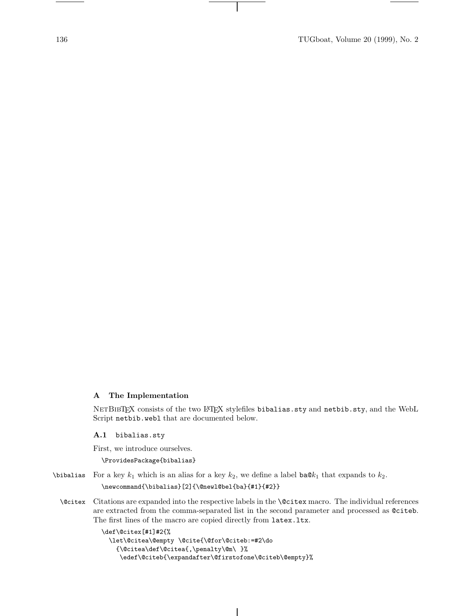# A The Implementation

NETBIBTEX consists of the two LATEX stylefiles bibalias.sty and netbib.sty, and the WebL Script netbib.webl that are documented below.

A.1 bibalias.sty

First, we introduce ourselves.

\ProvidesPackage{bibalias}

\bibalias For a key  $k_1$  which is an alias for a key  $k_2$ , we define a label ba $\mathbb{Q}k_1$  that expands to  $k_2$ . \newcommand{\bibalias}[2]{\@newl@bel{ba}{#1}{#2}}

\@citex Citations are expanded into the respective labels in the \@citex macro. The individual references are extracted from the comma-separated list in the second parameter and processed as @citeb. The first lines of the macro are copied directly from latex.ltx.

```
\def\@citex[#1]#2{%
 \let\@citea\@empty \@cite{\@for\@citeb:=#2\do
    {\@citea\def\@citea{,\penalty\@m\ }%
    \edef\@citeb{\expandafter\@firstofone\@citeb\@empty}%
```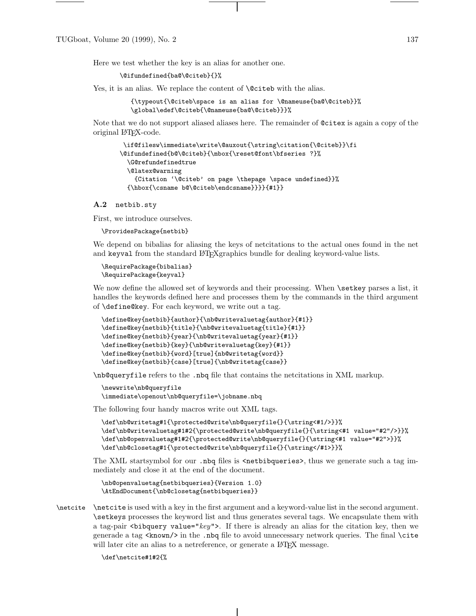Here we test whether the key is an alias for another one.

\@ifundefined{ba@\@citeb}{}%

Yes, it is an alias. We replace the content of **\@citeb** with the alias.

{\typeout{\@citeb\space is an alias for \@nameuse{ba@\@citeb}}% \global\edef\@citeb{\@nameuse{ba@\@citeb}}}%

Note that we do not support aliased aliases here. The remainder of @citex is again a copy of the original L<sup>A</sup>TEX-code.

```
\if@filesw\immediate\write\@auxout{\string\citation{\@citeb}}\fi
\@ifundefined{b@\@citeb}{\mbox{\reset@font\bfseries ?}%
 \G@refundefinedtrue
 \@latex@warning
    {Citation '\@citeb' on page \thepage \space undefined}}%
 {\hbox{\csname b@\@citeb\endcsname}}}}{#1}}
```
#### A.2 netbib.sty

First, we introduce ourselves.

\ProvidesPackage{netbib}

We depend on bibalias for aliasing the keys of netcitations to the actual ones found in the net and keyval from the standard LATEXgraphics bundle for dealing keyword-value lists.

```
\RequirePackage{bibalias}
\RequirePackage{keyval}
```
We now define the allowed set of keywords and their processing. When **\setkey** parses a list, it handles the keywords defined here and processes them by the commands in the third argument of \define@key. For each keyword, we write out a tag.

```
\define@key{netbib}{author}{\nb@writevaluetag{author}{#1}}
\define@key{netbib}{title}{\nb@writevaluetag{title}{#1}}
\define@key{netbib}{year}{\nb@writevaluetag{year}{#1}}
\define@key{netbib}{key}{\nb@writevaluetag{key}{#1}}
\define@key{netbib}{word}[true]{nb@writetag{word}}
\define@key{netbib}{case}[true]{\nb@writetag{case}}
```
\nb@queryfile refers to the .nbq file that contains the netcitations in XML markup.

```
\newwrite\nb@queryfile
\immediate\openout\nb@queryfile=\jobname.nbq
```
The following four handy macros write out XML tags.

```
\def\nb@writetag#1{\protected@write\nb@queryfile{}{\string<#1/>}}%
\def\nb@writevaluetag#1#2{\protected@write\nb@queryfile{}{\string<#1 value="#2"/>}}%
\def\nb@openvaluetag#1#2{\protected@write\nb@queryfile{}{\string<#1 value="#2">}}%
\def\nb@closetag#1{\protected@write\nb@queryfile{}{\string</#1>}}%
```
The XML startsymbol for our .nbq files is <netbibqueries>, thus we generate such a tag immediately and close it at the end of the document.

```
\nb@openvaluetag{netbibqueries}{Version 1.0}
\AtEndDocument{\nb@closetag{netbibqueries}}
```
\netcite \netcite is used with a key in the first argument and a keyword-value list in the second argument. \setkeys processes the keyword list and thus generates several tags. We encapsulate them with a tag-pair <br/>sbibquery value="key">. If there is already an alias for the citation key, then we generade a tag  $\langle$ known/ $\rangle$  in the .nbq file to avoid unnecessary network queries. The final  $\langle$ cite will later cite an alias to a netreference, or generate a L<sup>AT</sup>EX message.

\def\netcite#1#2{%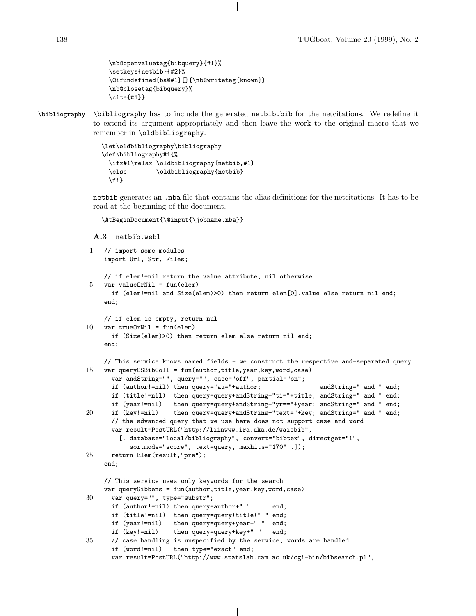```
\nb@openvaluetag{bibquery}{#1}%
\setkeys{netbib}{#2}%
\@ifundefined{ba@#1}{}{\nb@writetag{known}}
\nb@closetag{bibquery}%
\cite{#1}}
```
\bibliography \bibliography has to include the generated netbib.bib for the netcitations. We redefine it to extend its argument appropriately and then leave the work to the original macro that we remember in \oldbibliography.

```
\let\oldbibliography\bibliography
\def\bibliography#1{%
 \ifx#1\relax \oldbibliography{netbib,#1}
 \else \oldbibliography{netbib}
 \fi}
```
netbib generates an .nba file that contains the alias definitions for the netcitations. It has to be read at the beginning of the document.

\AtBeginDocument{\@input{\jobname.nba}}

```
A.3 netbib.webl
```

```
1 // import some modules
    import Url, Str, Files;
    // if elem!=nil return the value attribute, nil otherwise
    var valueOrNil = fun(elem)if (elem!=nil and Size(elem)>0) then return elem[0].value else return nil end;
    end;
    // if elem is empty, return nul
10 var trueOrNil = fun(elem)
      if (Size(elem)>0) then return elem else return nil end;
    end;
    // This service knows named fields - we construct the respective and-separated query
15 var queryCSBibColl = fun(author,title,year,key,word,case)
      var andString="", query="", case="off", partial="on";
      if (author!=nil) then query="au="+author; andString=" and " end;
      if (title!=nil) then query=query+andString+"ti="+title; andString=" and " end;
      if (year!=nil) then query=query+andString+"yr=="+year; andString=" and " end;
20 if (key!=nil) then query=query+andString+"text="+key; andString=" and " end;
      // the advanced query that we use here does not support case and word
      var result=PostURL("http://liinwww.ira.uka.de/waisbib",
        [. database="local/bibliography", convert="bibtex", directget="1",
           sortmode="score", text=query, maxhits="170" .]);
25 return Elem(result,"pre");
    end;
    // This service uses only keywords for the search
    var queryGibbens = fun(author,title,year,key,word,case)
30 var query="", type="substr";
      if (author!=nil) then query=author+" " end;
      if (title!=nil) then query=query+title+" " end;
      if (year!=nil) then query=query+year+" " end;
      if (key!=nil) then query=query+key+" " end;
35 // case handling is unspecified by the service, words are handled
      if (word!=nil) then type="exact" end;
      var result=PostURL("http://www.statslab.cam.ac.uk/cgi-bin/bibsearch.pl",
```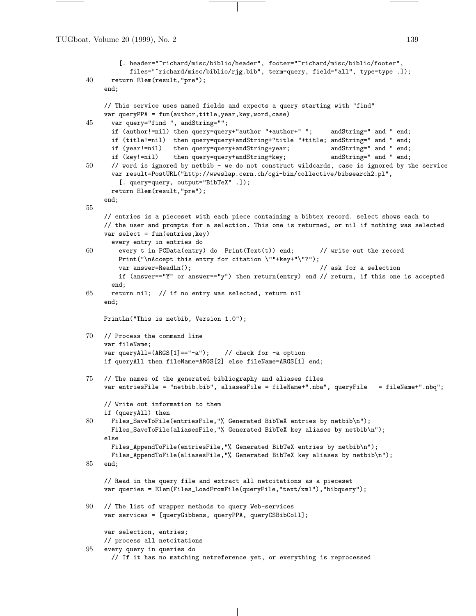TUGboat, Volume 20 (1999), No. 2 139

```
[. header="~richard/misc/biblio/header", footer="~richard/misc/biblio/footer",
           files="~richard/misc/biblio/rjg.bib", term=query, field="all", type=type .]);
40 return Elem(result,"pre");
    end;
    // This service uses named fields and expects a query starting with "find"
    var queryPPA = fun(author,title,year,key,word,case)
45 var query="find ", andString="";
      if (author!=nil) then query=query+"author "+author+" "; andString=" and " end;
      if (title!=nil) then query=query+andString+"title "+title; andString=" and " end;
      if (year!=nil) then query=query+andString+year; andString=" and " end;
      if (key!=nil) then query=query+andString+key; andString=" and " end;
50 // word is ignored by netbib - we do not construct wildcards, case is ignored by the service
      var result=PostURL("http://wwwslap.cern.ch/cgi-bin/collective/bibsearch2.pl",
        [. query=query, output="BibTeX" .]);
      return Elem(result,"pre");
    end;
55
    // entries is a pieceset with each piece containing a bibtex record. select shows each to
    // the user and prompts for a selection. This one is returned, or nil if nothing was selected
    var select = fun(entries,key)
      every entry in entries do
60 every t in PCData(entry) do Print(Text(t)) end; // write out the record
        Print("\nAccept this entry for citation \""+key+"\"?");
        var answer=ReadLn(); // ask for a selection
        if (answer=="Y" or answer=="y") then return(entry) end // return, if this one is accepted
      end;
65 return nil; // if no entry was selected, return nil
    end;
    PrintLn("This is netbib, Version 1.0");
70 // Process the command line
    var fileName;
    var queryAll=(ARGS[1]=="-a"); // check for -a option
    if queryAll then fileName=ARGS[2] else fileName=ARGS[1] end;
75 // The names of the generated bibliography and aliases files
    var entriesFile = "netbib.bib", aliasesFile = fileName+".nba", queryFile = fileName+".nbq";
    // Write out information to them
    if (queryAll) then
80 Files_SaveToFile(entriesFile,"% Generated BibTeX entries by netbib\n");
      Files_SaveToFile(aliasesFile,"% Generated BibTeX key aliases by netbib\n");
    else
      Files_AppendToFile(entriesFile,"% Generated BibTeX entries by netbib\n");
      Files_AppendToFile(aliasesFile,"% Generated BibTeX key aliases by netbib\n");
85 end;
    // Read in the query file and extract all netcitations as a pieceset
    var queries = Elem(Files_LoadFromFile(queryFile,"text/xml"),"bibquery");
90 // The list of wrapper methods to query Web-services
    var services = [queryGibbens, queryPPA, queryCSBibColl];
    var selection, entries;
    // process all netcitations
95 every query in queries do
      // If it has no matching netreference yet, or everything is reprocessed
```